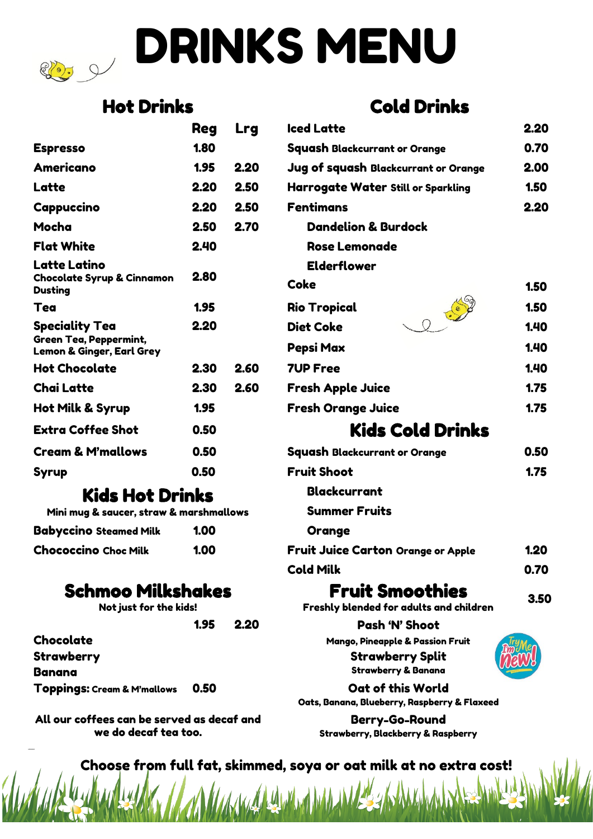# DRINKS MENU

# Hot Drinks Cold Drinks

|                                                                       | <b>Reg</b> | Lrg  | lced Latte                                |
|-----------------------------------------------------------------------|------------|------|-------------------------------------------|
| <b>Espresso</b>                                                       | 1.80       |      | <b>Squash Blackcurrant or Orange</b>      |
| Americano                                                             | 1.95       | 2.20 | Jug of squash Blackcurrant or Orange      |
| Latte                                                                 | 2.20       | 2.50 | <b>Harrogate Water Still or Sparkling</b> |
| Cappuccino                                                            | 2.20       | 2.50 | <b>Fentimans</b>                          |
| Mocha                                                                 | 2.50       | 2.70 | <b>Dandelion &amp; Burdock</b>            |
| <b>Flat White</b>                                                     | 2.40       |      | <b>Rose Lemonade</b>                      |
| Latte Latino                                                          |            |      | <b>Elderflower</b>                        |
| <b>Chocolate Syrup &amp; Cinnamon</b><br><b>Dusting</b>               | 2.80       |      | Coke                                      |
| <b>Tea</b>                                                            | 1.95       |      | <b>Rio Tropical</b>                       |
| <b>Speciality Tea</b>                                                 | 2.20       |      | <b>Diet Coke</b>                          |
| <b>Green Tea, Peppermint,</b><br><b>Lemon &amp; Ginger, Earl Grey</b> |            |      | Pepsi Max                                 |
| <b>Hot Chocolate</b>                                                  | 2.30       | 2.60 | <b>7UP Free</b>                           |
| <b>Chai Latte</b>                                                     | 2.30       | 2.60 | <b>Fresh Apple Juice</b>                  |
| Hot Milk & Syrup                                                      | 1.95       |      | <b>Fresh Orange Juice</b>                 |
| <b>Extra Coffee Shot</b>                                              | 0.50       |      | <b>Kids Cold Drinks</b>                   |
| <b>Cream &amp; M'mallows</b>                                          | 0.50       |      | Squash Blackcurrant or Orange             |
| Syrup                                                                 | 0.50       |      | <b>Fruit Shoot</b>                        |

# Kids Hot Drinks

| Mini mug & saucer, straw & marshmallows |      |
|-----------------------------------------|------|
| Babyccino Steamed Milk                  | 1.00 |
| Chococcino Choc Milk                    | 1.00 |

## Schmoo Milkshakes Fruit Smoothies 3.50

| Not just for the kids! |      |
|------------------------|------|
|                        | 1.95 |

Strawberry Strawberry Split Banana Strawberry & Banana Toppings: Cream & M'mallows 0.50 Cat of this World

All our coffees can be served as decaf and we do decaf tea too.

|                                                                         | <b>Reg</b> | <b>Lrg</b>           | <b>Iced Latte</b>                         | 2.20         |
|-------------------------------------------------------------------------|------------|----------------------|-------------------------------------------|--------------|
| <b>Espresso</b>                                                         | 1.80       |                      | Squash Blackcurrant or Orange             | 0.70         |
| Americano                                                               | 1.95       | 2.20                 | Jug of squash Blackcurrant or Orange      | 2.00         |
| Latte                                                                   | 2.20       | 2.50                 | <b>Harrogate Water Still or Sparkling</b> | 1.50         |
| Cappuccino                                                              | 2.20       | 2.50                 | <b>Fentimans</b>                          | 2.20         |
| Mocha                                                                   | 2.50       | 2.70                 | <b>Dandelion &amp; Burdock</b>            |              |
| Flat White                                                              | 2.40       |                      | <b>Rose Lemonade</b>                      |              |
| Latte Latino<br><b>Chocolate Syrup &amp; Cinnamon</b><br><b>Dusting</b> | 2.80       |                      | <b>Elderflower</b><br><b>Coke</b>         | 1.50         |
| Tea                                                                     | 1.95       |                      | <b>Rio Tropical</b>                       | 1.50         |
| Speciality Tea<br>Green Tea, Peppermint,<br>Lemon & Ginger, Earl Grey   | 2.20       |                      | 2.000<br><b>Diet Coke</b><br>Pepsi Max    | 1.40<br>1.40 |
| Hot Chocolate                                                           | 2.30       | 2.60                 | <b>7UP Free</b>                           | 1.40         |
| Chai Latte                                                              | 2.30       | 2.60                 | <b>Fresh Apple Juice</b>                  | 1.75         |
| Hot Milk & Syrup                                                        | 1.95       |                      | <b>Fresh Orange Juice</b>                 | 1.75         |
| <b>Extra Coffee Shot</b>                                                | 0.50       |                      | <b>Kids Cold Drinks</b>                   |              |
| <b>Cream &amp; M'mallows</b>                                            | 0.50       |                      | <b>Squash Blackcurrant or Orange</b>      | 0.50         |
| Syrup                                                                   | 0.50       |                      | <b>Fruit Shoot</b>                        | 1.75         |
| <b>Kids Hot Drinks</b><br>Mini mug & saucer, straw & marshmallows       |            | <b>Blackcurrant</b>  |                                           |              |
|                                                                         |            | <b>Summer Fruits</b> |                                           |              |
|                                                                         |            |                      |                                           |              |

**Orange** Fruit Juice Carton Orange or Apple 1.20 Cold Milk 0.70

Freshly blended for adults and children

1.95 2.20 Pash 'N' Shoot Chocolate **Chocolate** Mango, Pineapple & Passion Fruit



Oats, Banana, Blueberry, Raspberry & Flaxeed

Berry-Go-Round Strawberry, Blackberry & Raspberry

Choose from full fat, skimmed, soya or oat milk at no extra cost!